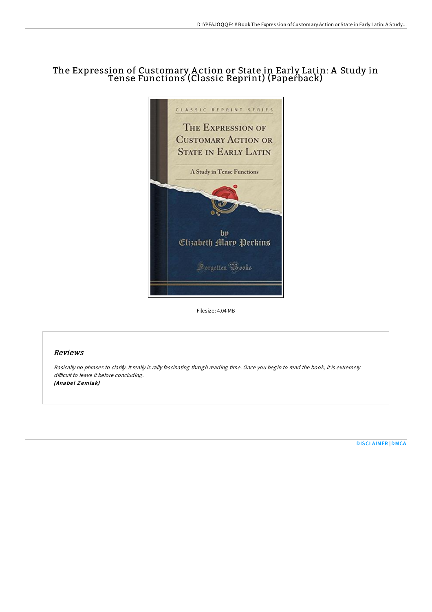# The Expression of Customary A ction or State in Early Latin: A Study in Tense Functions (Classic Reprint) (Paperback)



Filesize: 4.04 MB

# Reviews

Basically no phrases to clarify. It really is rally fascinating throgh reading time. Once you begin to read the book, it is extremely difficult to leave it before concluding. (Anabel Zemlak)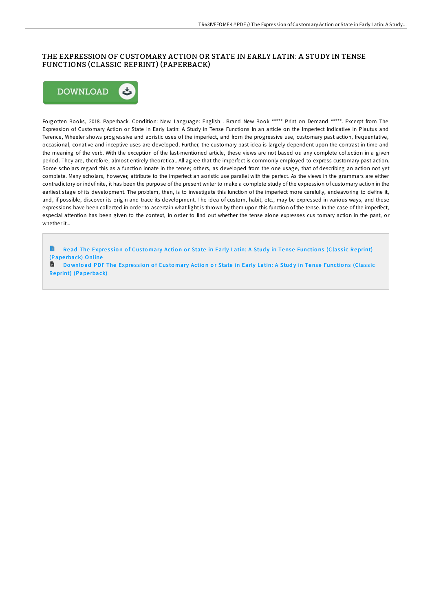# THE EXPRESSION OF CUSTOMARY ACTION OR STATE IN EARLY LATIN: A STUDY IN TENSE FUNCTIONS (CLASSIC REPRINT) (PAPERBACK)



Forgotten Books, 2018. Paperback. Condition: New. Language: English . Brand New Book \*\*\*\*\* Print on Demand \*\*\*\*\*. Excerpt from The Expression of Customary Action or State in Early Latin: A Study in Tense Functions In an article on the Imperfect Indicative in Plautus and Terence, Wheeler shows progressive and aoristic uses of the imperfect, and from the progressive use, customary past action, frequentative, occasional, conative and inceptive uses are developed. Further, the customary past idea is largely dependent upon the contrast in time and the meaning of the verb. With the exception of the last-mentioned article, these views are not based ou any complete collection in a given period. They are, therefore, almost entirely theoretical. All agree that the imperfect is commonly employed to express customary past action. Some scholars regard this as a function innate in the tense; others, as developed from the one usage, that of describing an action not yet complete. Many scholars, however, attribute to the imperfect an aoristic use parallel with the perfect. As the views in the grammars are either contradictory or indefinite, it has been the purpose of the present writer to make a complete study of the expression of customary action in the earliest stage of its development. The problem, then, is to investigate this function of the imperfect more carefully, endeavoring to define it, and, if possible, discover its origin and trace its development. The idea of custom, habit, etc., may be expressed in various ways, and these expressions have been collected in order to ascertain what light is thrown by them upon this function of the tense. In the case of the imperfect, especial attention has been given to the context, in order to find out whether the tense alone expresses cus tomary action in the past, or whether it...

Read The Expression of Customary Action or State in Early Latin: A Study in Tense Functions (Classic [Reprint\)](http://almighty24.tech/the-expression-of-customary-action-or-state-in-e.html) (Pape rback) Online

B Do wnload PDF The Expression of Customary Action or State in Early Latin: A Study in Tense Functions (Classic [Reprint\)](http://almighty24.tech/the-expression-of-customary-action-or-state-in-e.html) (Paperback)